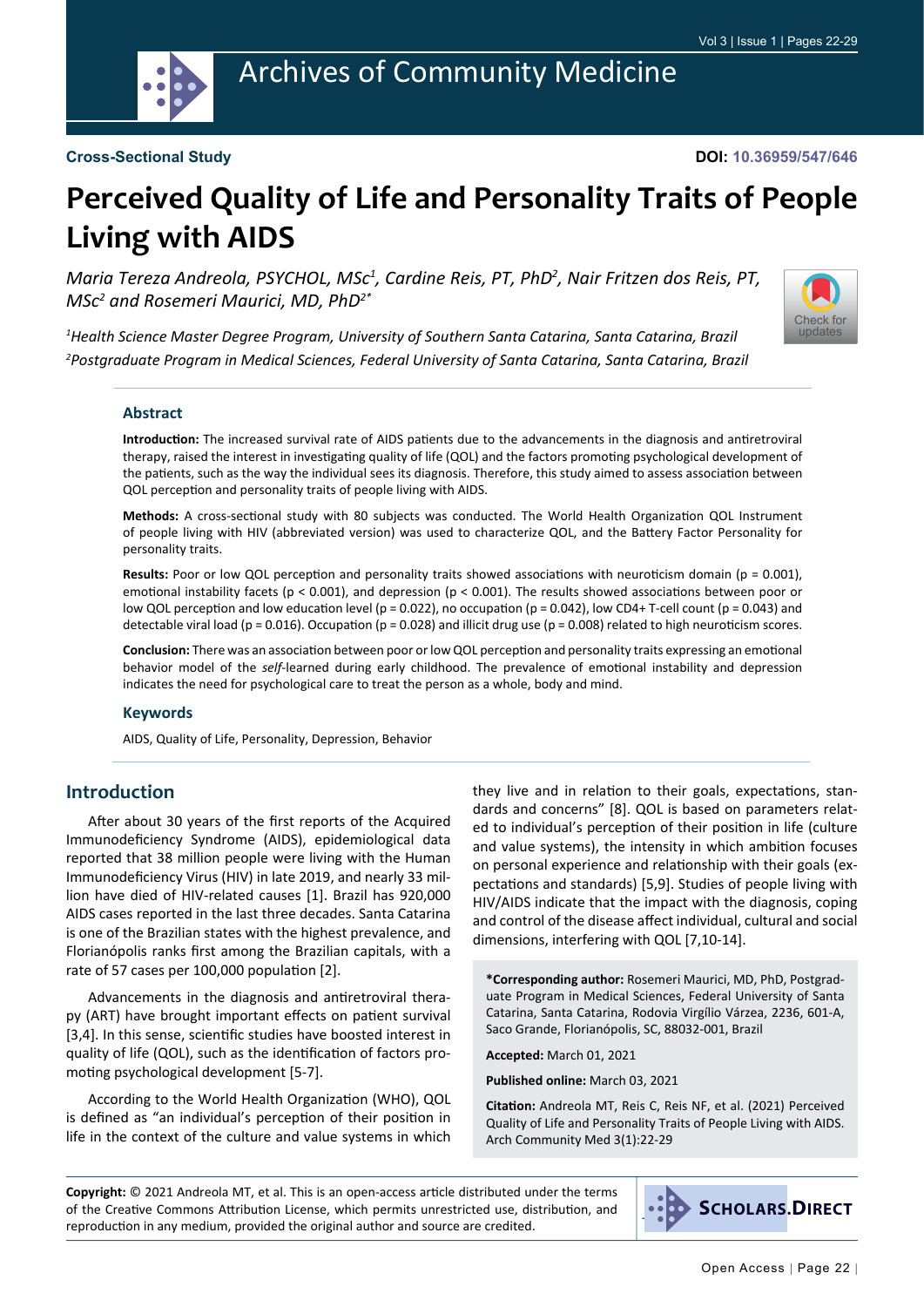

#### **Cross-Sectional Study**

**DOI: 10.36959/547/646**

# **Perceived Quality of Life and Personality Traits of People Living with AIDS**

Maria Tereza Andreola, PSYCHOL, MSc<sup>1</sup>, Cardine Reis, PT, PhD<sup>2</sup>, Nair Fritzen dos Reis, PT, *MSc2 and Rosemeri Maurici, MD, PhD2\**



*1 Health Science Master Degree Program, University of Southern Santa Catarina, Santa Catarina, Brazil 2 Postgraduate Program in Medical Sciences, Federal University of Santa Catarina, Santa Catarina, Brazil*

#### **Abstract**

**Introduction:** The increased survival rate of AIDS patients due to the advancements in the diagnosis and antiretroviral therapy, raised the interest in investigating quality of life (QOL) and the factors promoting psychological development of the patients, such as the way the individual sees its diagnosis. Therefore, this study aimed to assess association between QOL perception and personality traits of people living with AIDS.

**Methods:** A cross-sectional study with 80 subjects was conducted. The World Health Organization QOL Instrument of people living with HIV (abbreviated version) was used to characterize QOL, and the Battery Factor Personality for personality traits.

**Results:** Poor or low QOL perception and personality traits showed associations with neuroticism domain (p = 0.001), emotional instability facets ( $p < 0.001$ ), and depression ( $p < 0.001$ ). The results showed associations between poor or low QOL perception and low education level ( $p = 0.022$ ), no occupation ( $p = 0.042$ ), low CD4+ T-cell count ( $p = 0.043$ ) and detectable viral load ( $p = 0.016$ ). Occupation ( $p = 0.028$ ) and illicit drug use ( $p = 0.008$ ) related to high neuroticism scores.

**Conclusion:** There was an association between poor or low QOL perception and personality traits expressing an emotional behavior model of the *self*-learned during early childhood. The prevalence of emotional instability and depression indicates the need for psychological care to treat the person as a whole, body and mind.

#### **Keywords**

AIDS, Quality of Life, Personality, Depression, Behavior

#### **Introduction**

After about 30 years of the first reports of the Acquired Immunodeficiency Syndrome (AIDS), epidemiological data reported that 38 million people were living with the Human Immunodeficiency Virus (HIV) in late 2019, and nearly 33 million have died of HIV-related causes [1]. Brazil has 920,000 AIDS cases reported in the last three decades. Santa Catarina is one of the Brazilian states with the highest prevalence, and Florianópolis ranks first among the Brazilian capitals, with a rate of 57 cases per 100,000 population [2].

Advancements in the diagnosis and antiretroviral therapy (ART) have brought important effects on patient survival [3,4]. In this sense, scientific studies have boosted interest in quality of life (QOL), such as the identification of factors promoting psychological development [5-7].

According to the World Health Organization (WHO), QOL is defined as "an individual's perception of their position in life in the context of the culture and value systems in which

they live and in relation to their goals, expectations, standards and concerns" [8]. QOL is based on parameters related to individual's perception of their position in life (culture and value systems), the intensity in which ambition focuses on personal experience and relationship with their goals (expectations and standards) [5,9]. Studies of people living with HIV/AIDS indicate that the impact with the diagnosis, coping and control of the disease affect individual, cultural and social dimensions, interfering with QOL [7,10-14].

**\*Corresponding author:** Rosemeri Maurici, MD, PhD, Postgraduate Program in Medical Sciences, Federal University of Santa Catarina, Santa Catarina, Rodovia Virgílio Várzea, 2236, 601-A, Saco Grande, Florianópolis, SC, 88032-001, Brazil

**Accepted:** March 01, 2021

**Published online:** March 03, 2021

**Citation:** Andreola MT, Reis C, Reis NF, et al. (2021) Perceived Quality of Life and Personality Traits of People Living with AIDS. Arch Community Med 3(1):22-29

**Copyright:** © 2021 Andreola MT, et al. This is an open-access article distributed under the terms of the Creative Commons Attribution License, which permits unrestricted use, distribution, and reproduction in any medium, provided the original author and source are credited.

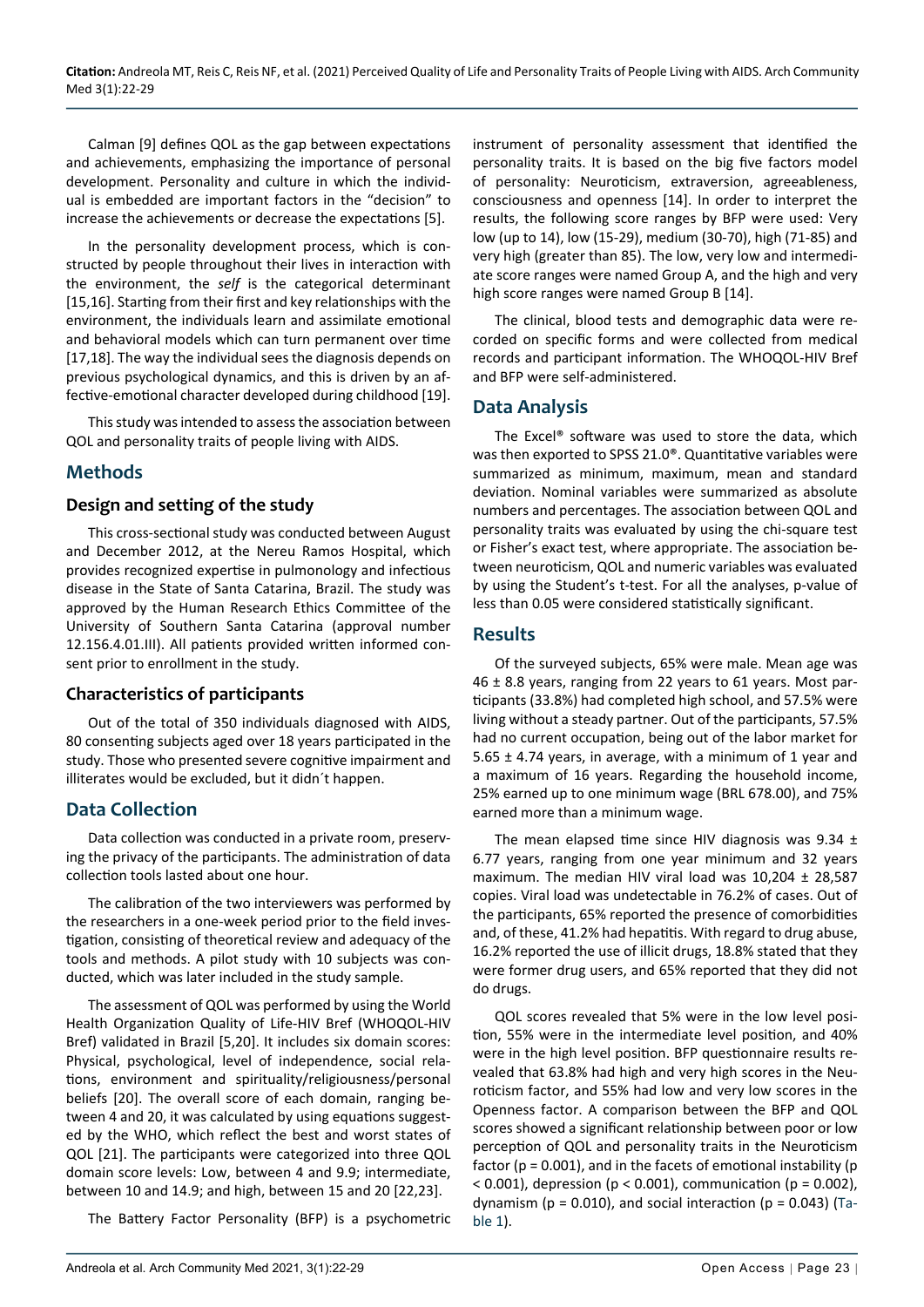Calman [9] defines QOL as the gap between expectations and achievements, emphasizing the importance of personal development. Personality and culture in which the individual is embedded are important factors in the "decision" to increase the achievements or decrease the expectations [5].

In the personality development process, which is constructed by people throughout their lives in interaction with the environment, the *self* is the categorical determinant [15,16]. Starting from their first and key relationships with the environment, the individuals learn and assimilate emotional and behavioral models which can turn permanent over time [17,18]. The way the individual sees the diagnosis depends on previous psychological dynamics, and this is driven by an affective-emotional character developed during childhood [19].

This study was intended to assess the association between QOL and personality traits of people living with AIDS.

## **Methods**

#### **Design and setting of the study**

This cross-sectional study was conducted between August and December 2012, at the Nereu Ramos Hospital, which provides recognized expertise in pulmonology and infectious disease in the State of Santa Catarina, Brazil. The study was approved by the Human Research Ethics Committee of the University of Southern Santa Catarina (approval number 12.156.4.01.III). All patients provided written informed consent prior to enrollment in the study.

#### **Characteristics of participants**

Out of the total of 350 individuals diagnosed with AIDS, 80 consenting subjects aged over 18 years participated in the study. Those who presented severe cognitive impairment and illiterates would be excluded, but it didn´t happen.

#### **Data Collection**

Data collection was conducted in a private room, preserving the privacy of the participants. The administration of data collection tools lasted about one hour.

The calibration of the two interviewers was performed by the researchers in a one-week period prior to the field investigation, consisting of theoretical review and adequacy of the tools and methods. A pilot study with 10 subjects was conducted, which was later included in the study sample.

The assessment of QOL was performed by using the World Health Organization Quality of Life-HIV Bref (WHOQOL-HIV Bref) validated in Brazil [5,20]. It includes six domain scores: Physical, psychological, level of independence, social relations, environment and spirituality/religiousness/personal beliefs [20]. The overall score of each domain, ranging between 4 and 20, it was calculated by using equations suggested by the WHO, which reflect the best and worst states of QOL [21]. The participants were categorized into three QOL domain score levels: Low, between 4 and 9.9; intermediate, between 10 and 14.9; and high, between 15 and 20 [22,23].

The Battery Factor Personality (BFP) is a psychometric

instrument of personality assessment that identified the personality traits. It is based on the big five factors model of personality: Neuroticism, extraversion, agreeableness, consciousness and openness [14]. In order to interpret the results, the following score ranges by BFP were used: Very low (up to 14), low (15-29), medium (30-70), high (71-85) and very high (greater than 85). The low, very low and intermediate score ranges were named Group A, and the high and very high score ranges were named Group B [14].

The clinical, blood tests and demographic data were recorded on specific forms and were collected from medical records and participant information. The WHOQOL-HIV Bref and BFP were self-administered.

#### **Data Analysis**

The Excel® software was used to store the data, which was then exported to SPSS 21.0®. Quantitative variables were summarized as minimum, maximum, mean and standard deviation. Nominal variables were summarized as absolute numbers and percentages. The association between QOL and personality traits was evaluated by using the chi-square test or Fisher's exact test, where appropriate. The association between neuroticism, QOL and numeric variables was evaluated by using the Student's t-test. For all the analyses, p-value of less than 0.05 were considered statistically significant.

## **Results**

Of the surveyed subjects, 65% were male. Mean age was 46 ± 8.8 years, ranging from 22 years to 61 years. Most participants (33.8%) had completed high school, and 57.5% were living without a steady partner. Out of the participants, 57.5% had no current occupation, being out of the labor market for 5.65  $\pm$  4.74 years, in average, with a minimum of 1 year and a maximum of 16 years. Regarding the household income, 25% earned up to one minimum wage (BRL 678.00), and 75% earned more than a minimum wage.

The mean elapsed time since HIV diagnosis was  $9.34 \pm$ 6.77 years, ranging from one year minimum and 32 years maximum. The median HIV viral load was  $10,204 \pm 28,587$ copies. Viral load was undetectable in 76.2% of cases. Out of the participants, 65% reported the presence of comorbidities and, of these, 41.2% had hepatitis. With regard to drug abuse, 16.2% reported the use of illicit drugs, 18.8% stated that they were former drug users, and 65% reported that they did not do drugs.

QOL scores revealed that 5% were in the low level position, 55% were in the intermediate level position, and 40% were in the high level position. BFP questionnaire results revealed that 63.8% had high and very high scores in the Neuroticism factor, and 55% had low and very low scores in the Openness factor. A comparison between the BFP and QOL scores showed a significant relationship between poor or low perception of QOL and personality traits in the Neuroticism factor ( $p = 0.001$ ), and in the facets of emotional instability ( $p$ )  $<$  0.001), depression (p  $<$  0.001), communication (p = 0.002), dynamism ( $p = 0.010$ ), and social interaction ( $p = 0.043$ ) ([Ta](#page-2-0)[ble 1\)](#page-2-0).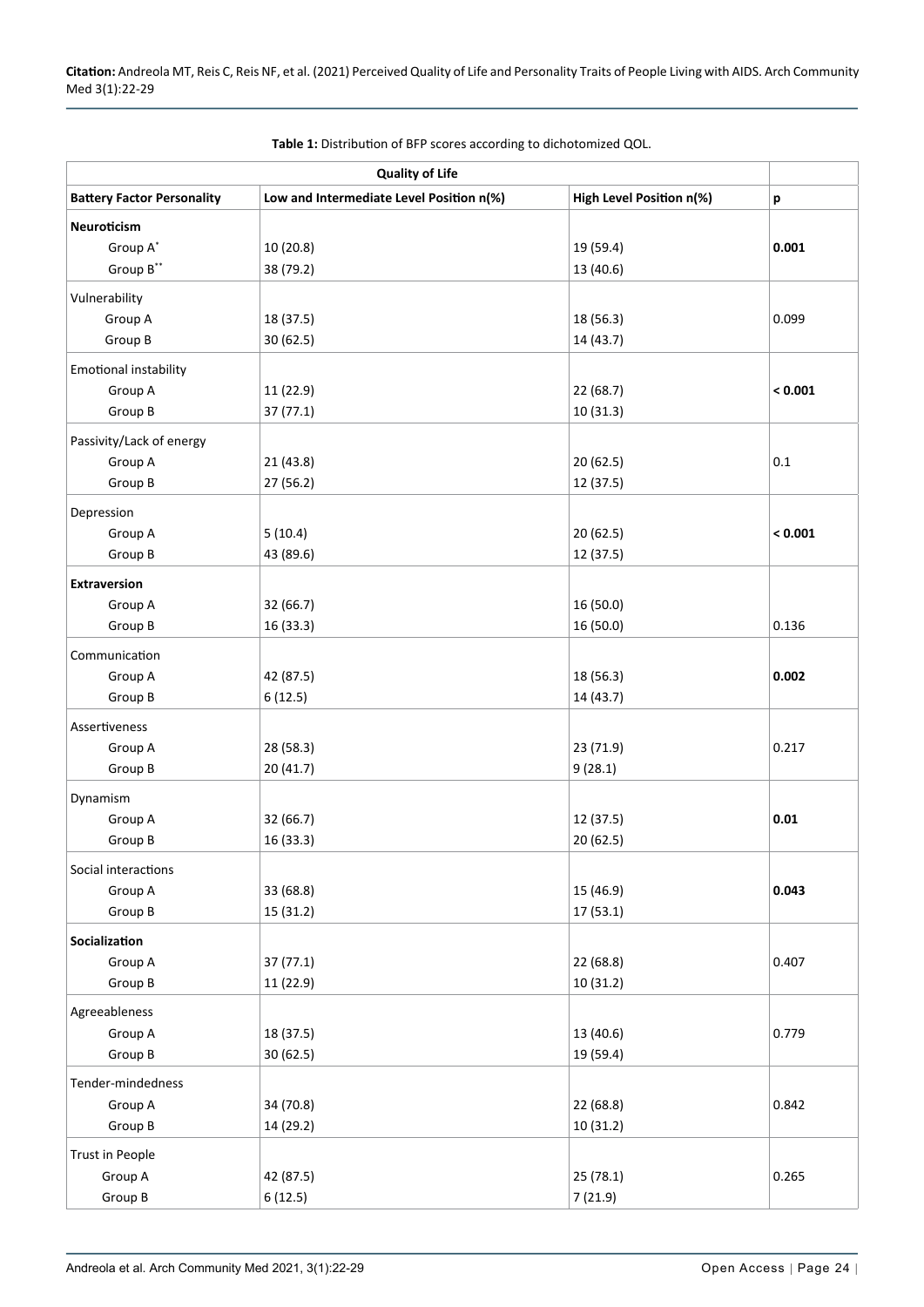| <b>Quality of Life</b>            |                                          |                          |                           |  |
|-----------------------------------|------------------------------------------|--------------------------|---------------------------|--|
| <b>Battery Factor Personality</b> | Low and Intermediate Level Position n(%) | High Level Position n(%) | $\boldsymbol{\mathsf{p}}$ |  |
| Neuroticism                       |                                          |                          |                           |  |
| Group A*                          | 10 (20.8)                                | 19 (59.4)                | 0.001                     |  |
| Group B**                         | 38 (79.2)                                | 13 (40.6)                |                           |  |
| Vulnerability                     |                                          |                          |                           |  |
| Group A                           | 18 (37.5)                                | 18 (56.3)                | 0.099                     |  |
| Group B                           | 30 (62.5)                                | 14 (43.7)                |                           |  |
| Emotional instability             |                                          |                          |                           |  |
| Group A                           | 11 (22.9)                                | 22 (68.7)                | < 0.001                   |  |
| Group B                           | 37(77.1)                                 | 10 (31.3)                |                           |  |
|                                   |                                          |                          |                           |  |
| Passivity/Lack of energy          |                                          |                          |                           |  |
| Group A<br>Group B                | 21 (43.8)<br>27 (56.2)                   | 20 (62.5)<br>12 (37.5)   | 0.1                       |  |
|                                   |                                          |                          |                           |  |
| Depression                        |                                          |                          |                           |  |
| Group A                           | 5(10.4)                                  | 20 (62.5)                | < 0.001                   |  |
| Group B                           | 43 (89.6)                                | 12 (37.5)                |                           |  |
| <b>Extraversion</b>               |                                          |                          |                           |  |
| Group A                           | 32 (66.7)                                | 16 (50.0)                |                           |  |
| Group B                           | 16 (33.3)                                | 16 (50.0)                | 0.136                     |  |
| Communication                     |                                          |                          |                           |  |
| Group A                           | 42 (87.5)                                | 18 (56.3)                | 0.002                     |  |
| Group B                           | 6(12.5)                                  | 14 (43.7)                |                           |  |
| Assertiveness                     |                                          |                          |                           |  |
| Group A                           | 28 (58.3)                                | 23 (71.9)                | 0.217                     |  |
| Group B                           | 20 (41.7)                                | 9(28.1)                  |                           |  |
| Dynamism                          |                                          |                          |                           |  |
| Group A                           | 32 (66.7)                                | 12 (37.5)                | 0.01                      |  |
| Group B                           | 16 (33.3)                                | 20 (62.5)                |                           |  |
|                                   |                                          |                          |                           |  |
| Social interactions               | 33 (68.8)                                |                          | 0.043                     |  |
| Group A<br>Group B                | 15 (31.2)                                | 15 (46.9)<br>17(53.1)    |                           |  |
|                                   |                                          |                          |                           |  |
| Socialization                     |                                          |                          |                           |  |
| Group A                           | 37(77.1)                                 | 22 (68.8)                | 0.407                     |  |
| Group B                           | 11 (22.9)                                | 10(31.2)                 |                           |  |
| Agreeableness                     |                                          |                          |                           |  |
| Group A                           | 18 (37.5)                                | 13 (40.6)                | 0.779                     |  |
| Group B                           | 30 (62.5)                                | 19 (59.4)                |                           |  |
| Tender-mindedness                 |                                          |                          |                           |  |
| Group A                           | 34 (70.8)                                | 22 (68.8)                | 0.842                     |  |
| Group B                           | 14 (29.2)                                | 10 (31.2)                |                           |  |
| Trust in People                   |                                          |                          |                           |  |
| Group A                           | 42 (87.5)                                | 25 (78.1)                | 0.265                     |  |
| Group B                           | 6(12.5)                                  | 7(21.9)                  |                           |  |

<span id="page-2-0"></span>**Table 1:** Distribution of BFP scores according to dichotomized QOL.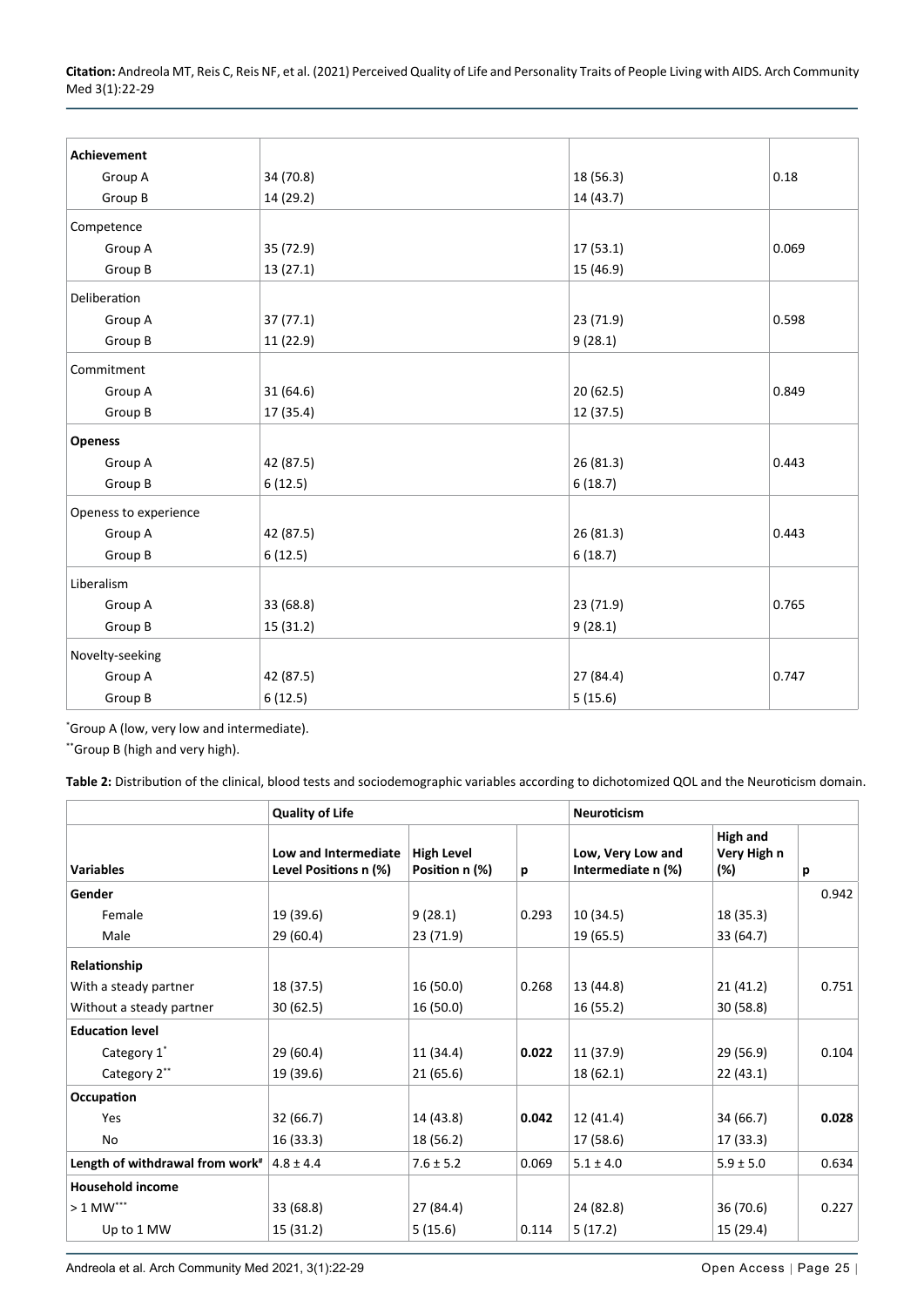**Citation:** Andreola MT, Reis C, Reis NF, et al. (2021) Perceived Quality of Life and Personality Traits of People Living with AIDS. Arch Community Med 3(1):22-29

| Achievement           |           |           |       |
|-----------------------|-----------|-----------|-------|
| Group A               | 34 (70.8) | 18 (56.3) | 0.18  |
| Group B               | 14 (29.2) | 14 (43.7) |       |
| Competence            |           |           |       |
| Group A               | 35 (72.9) | 17(53.1)  | 0.069 |
| Group B               | 13(27.1)  | 15 (46.9) |       |
| Deliberation          |           |           |       |
| Group A               | 37(77.1)  | 23 (71.9) | 0.598 |
| Group B               | 11 (22.9) | 9(28.1)   |       |
| Commitment            |           |           |       |
| Group A               | 31 (64.6) | 20(62.5)  | 0.849 |
| Group B               | 17 (35.4) | 12 (37.5) |       |
| <b>Openess</b>        |           |           |       |
| Group A               | 42 (87.5) | 26 (81.3) | 0.443 |
| Group B               | 6(12.5)   | 6(18.7)   |       |
| Openess to experience |           |           |       |
| Group A               | 42 (87.5) | 26 (81.3) | 0.443 |
| Group B               | 6(12.5)   | 6(18.7)   |       |
| Liberalism            |           |           |       |
| Group A               | 33 (68.8) | 23 (71.9) | 0.765 |
| Group B               | 15 (31.2) | 9(28.1)   |       |
| Novelty-seeking       |           |           |       |
| Group A               | 42 (87.5) | 27 (84.4) | 0.747 |
| Group B               | 6(12.5)   | 5(15.6)   |       |

\* Group A (low, very low and intermediate).

\*\*Group B (high and very high).

<span id="page-3-0"></span>**Table 2:** Distribution of the clinical, blood tests and sociodemographic variables according to dichotomized QOL and the Neuroticism domain.

|                                             | <b>Quality of Life</b>                        |                                     |       | <b>Neuroticism</b>                      |                                       |       |
|---------------------------------------------|-----------------------------------------------|-------------------------------------|-------|-----------------------------------------|---------------------------------------|-------|
| <b>Variables</b>                            | Low and Intermediate<br>Level Positions n (%) | <b>High Level</b><br>Position n (%) | p     | Low, Very Low and<br>Intermediate n (%) | <b>High and</b><br>Very High n<br>(%) | р     |
| Gender                                      |                                               |                                     |       |                                         |                                       | 0.942 |
| Female                                      | 19 (39.6)                                     | 9(28.1)                             | 0.293 | 10 (34.5)                               | 18 (35.3)                             |       |
| Male                                        | 29 (60.4)                                     | 23 (71.9)                           |       | 19 (65.5)                               | 33 (64.7)                             |       |
| Relationship                                |                                               |                                     |       |                                         |                                       |       |
| With a steady partner                       | 18 (37.5)                                     | 16 (50.0)                           | 0.268 | 13 (44.8)                               | 21(41.2)                              | 0.751 |
| Without a steady partner                    | 30(62.5)                                      | 16 (50.0)                           |       | 16 (55.2)                               | 30(58.8)                              |       |
| <b>Education level</b>                      |                                               |                                     |       |                                         |                                       |       |
| Category 1*                                 | 29(60.4)                                      | 11 (34.4)                           | 0.022 | 11 (37.9)                               | 29 (56.9)                             | 0.104 |
| Category 2**                                | 19 (39.6)                                     | 21 (65.6)                           |       | 18 (62.1)                               | 22(43.1)                              |       |
| Occupation                                  |                                               |                                     |       |                                         |                                       |       |
| Yes                                         | 32 (66.7)                                     | 14 (43.8)                           | 0.042 | 12 (41.4)                               | 34 (66.7)                             | 0.028 |
| No                                          | 16 (33.3)                                     | 18 (56.2)                           |       | 17 (58.6)                               | 17 (33.3)                             |       |
| Length of withdrawal from work <sup>#</sup> | $4.8 \pm 4.4$                                 | $7.6 \pm 5.2$                       | 0.069 | $5.1 \pm 4.0$                           | $5.9 \pm 5.0$                         | 0.634 |
| <b>Household income</b>                     |                                               |                                     |       |                                         |                                       |       |
| $>1$ MW***                                  | 33 (68.8)                                     | 27 (84.4)                           |       | 24 (82.8)                               | 36 (70.6)                             | 0.227 |
| Up to 1 MW                                  | 15 (31.2)                                     | 5(15.6)                             | 0.114 | 5(17.2)                                 | 15 (29.4)                             |       |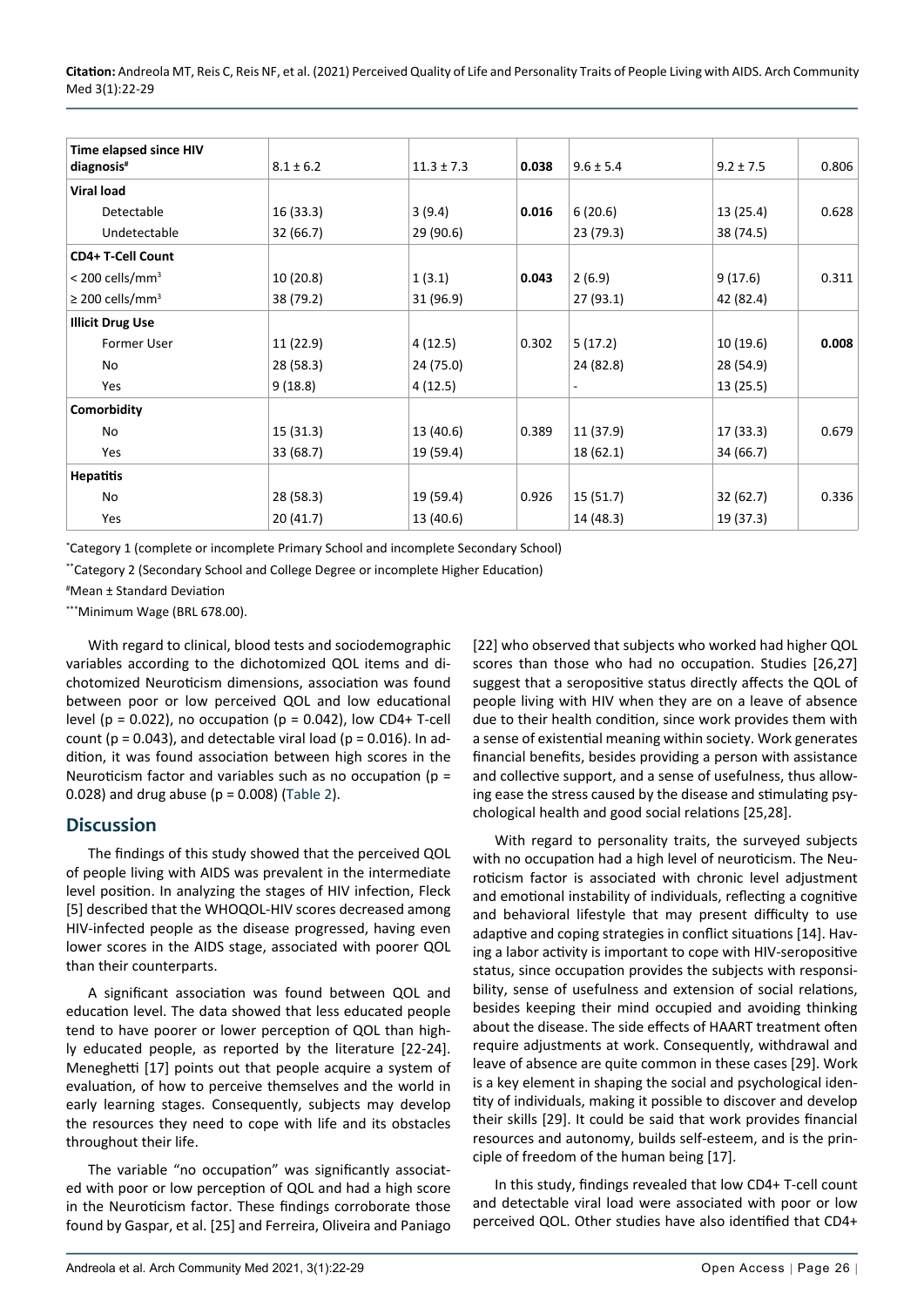**Citation:** Andreola MT, Reis C, Reis NF, et al. (2021) Perceived Quality of Life and Personality Traits of People Living with AIDS. Arch Community Med 3(1):22-29

| Time elapsed since HIV           |               |                |       |               |               |       |
|----------------------------------|---------------|----------------|-------|---------------|---------------|-------|
| diagnosis <sup>#</sup>           | $8.1 \pm 6.2$ | $11.3 \pm 7.3$ | 0.038 | $9.6 \pm 5.4$ | $9.2 \pm 7.5$ | 0.806 |
| <b>Viral load</b>                |               |                |       |               |               |       |
| Detectable                       | 16 (33.3)     | 3(9.4)         | 0.016 | 6(20.6)       | 13 (25.4)     | 0.628 |
| Undetectable                     | 32 (66.7)     | 29 (90.6)      |       | 23 (79.3)     | 38 (74.5)     |       |
| CD4+ T-Cell Count                |               |                |       |               |               |       |
| $<$ 200 cells/mm <sup>3</sup>    | 10 (20.8)     | 1(3.1)         | 0.043 | 2(6.9)        | 9 (17.6)      | 0.311 |
| $\geq$ 200 cells/mm <sup>3</sup> | 38 (79.2)     | 31 (96.9)      |       | 27 (93.1)     | 42 (82.4)     |       |
| <b>Illicit Drug Use</b>          |               |                |       |               |               |       |
| <b>Former User</b>               | 11 (22.9)     | 4(12.5)        | 0.302 | 5(17.2)       | 10 (19.6)     | 0.008 |
| No                               | 28 (58.3)     | 24 (75.0)      |       | 24 (82.8)     | 28 (54.9)     |       |
| Yes                              | 9(18.8)       | 4(12.5)        |       |               | 13(25.5)      |       |
| Comorbidity                      |               |                |       |               |               |       |
| No                               | 15 (31.3)     | 13 (40.6)      | 0.389 | 11 (37.9)     | 17 (33.3)     | 0.679 |
| Yes                              | 33 (68.7)     | 19 (59.4)      |       | 18 (62.1)     | 34 (66.7)     |       |
| <b>Hepatitis</b>                 |               |                |       |               |               |       |
| No                               | 28 (58.3)     | 19 (59.4)      | 0.926 | 15 (51.7)     | 32 (62.7)     | 0.336 |
| Yes                              | 20 (41.7)     | 13 (40.6)      |       | 14 (48.3)     | 19 (37.3)     |       |

\* Category 1 (complete or incomplete Primary School and incomplete Secondary School)

\*\*Category 2 (Secondary School and College Degree or incomplete Higher Education)

# Mean ± Standard Deviation

\*\*\*Minimum Wage (BRL 678.00).

With regard to clinical, blood tests and sociodemographic variables according to the dichotomized QOL items and dichotomized Neuroticism dimensions, association was found between poor or low perceived QOL and low educational level (p = 0.022), no occupation (p = 0.042), low CD4+ T-cell count ( $p = 0.043$ ), and detectable viral load ( $p = 0.016$ ). In addition, it was found association between high scores in the Neuroticism factor and variables such as no occupation (p = 0.028) and drug abuse ( $p = 0.008$ ) [\(Table 2](#page-3-0)).

#### **Discussion**

The findings of this study showed that the perceived QOL of people living with AIDS was prevalent in the intermediate level position. In analyzing the stages of HIV infection, Fleck [5] described that the WHOQOL-HIV scores decreased among HIV-infected people as the disease progressed, having even lower scores in the AIDS stage, associated with poorer QOL than their counterparts.

A significant association was found between QOL and education level. The data showed that less educated people tend to have poorer or lower perception of QOL than highly educated people, as reported by the literature [22-24]. Meneghetti [17] points out that people acquire a system of evaluation, of how to perceive themselves and the world in early learning stages. Consequently, subjects may develop the resources they need to cope with life and its obstacles throughout their life.

The variable "no occupation" was significantly associated with poor or low perception of QOL and had a high score in the Neuroticism factor. These findings corroborate those found by Gaspar, et al. [25] and Ferreira, Oliveira and Paniago [22] who observed that subjects who worked had higher QOL scores than those who had no occupation. Studies [26,27] suggest that a seropositive status directly affects the QOL of people living with HIV when they are on a leave of absence due to their health condition, since work provides them with a sense of existential meaning within society. Work generates financial benefits, besides providing a person with assistance and collective support, and a sense of usefulness, thus allowing ease the stress caused by the disease and stimulating psychological health and good social relations [25,28].

With regard to personality traits, the surveyed subjects with no occupation had a high level of neuroticism. The Neuroticism factor is associated with chronic level adjustment and emotional instability of individuals, reflecting a cognitive and behavioral lifestyle that may present difficulty to use adaptive and coping strategies in conflict situations [14]. Having a labor activity is important to cope with HIV-seropositive status, since occupation provides the subjects with responsibility, sense of usefulness and extension of social relations, besides keeping their mind occupied and avoiding thinking about the disease. The side effects of HAART treatment often require adjustments at work. Consequently, withdrawal and leave of absence are quite common in these cases [29]. Work is a key element in shaping the social and psychological identity of individuals, making it possible to discover and develop their skills [29]. It could be said that work provides financial resources and autonomy, builds self-esteem, and is the principle of freedom of the human being [17].

In this study, findings revealed that low CD4+ T-cell count and detectable viral load were associated with poor or low perceived QOL. Other studies have also identified that CD4+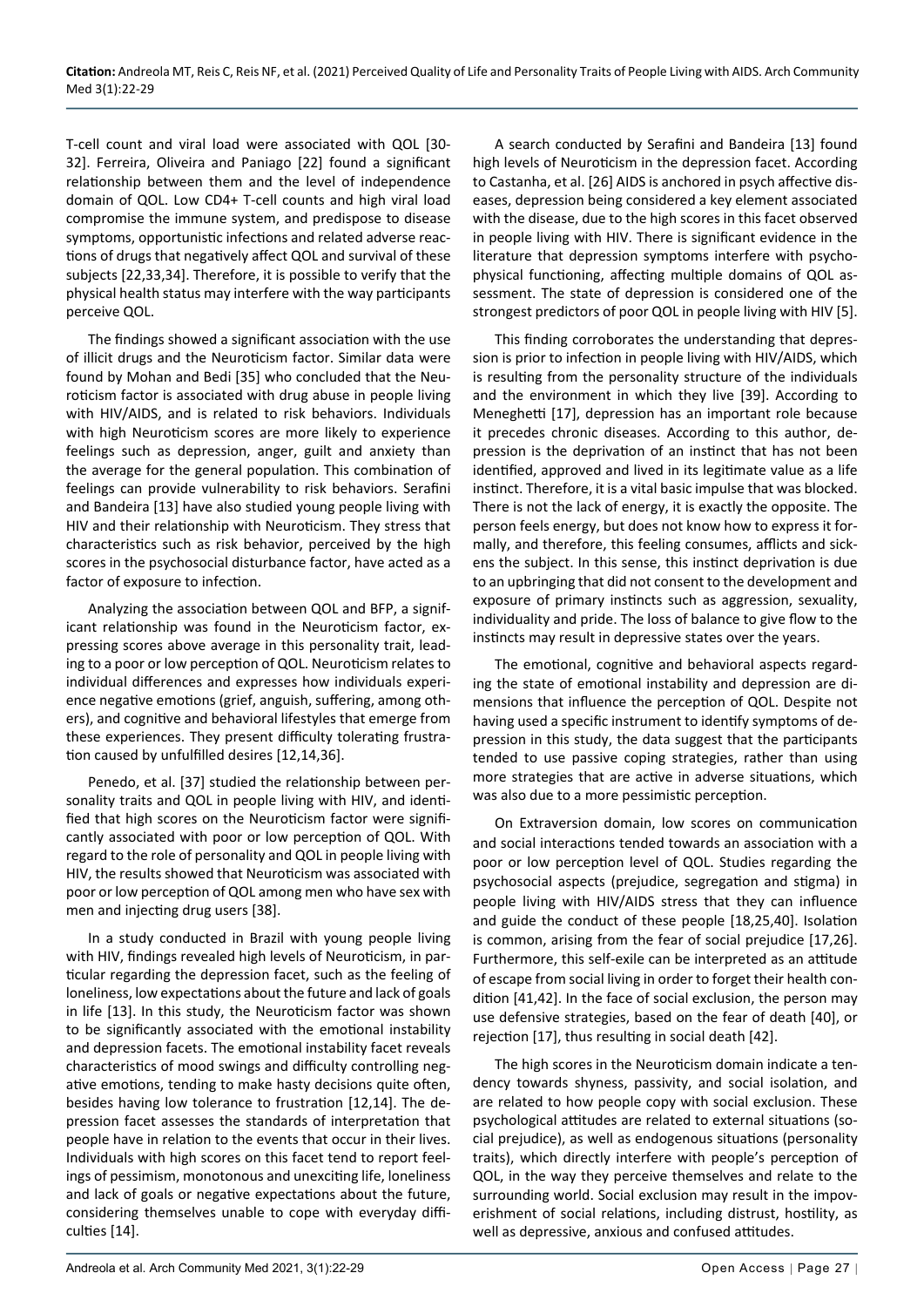T-cell count and viral load were associated with QOL [30- 32]. Ferreira, Oliveira and Paniago [22] found a significant relationship between them and the level of independence domain of QOL. Low CD4+ T-cell counts and high viral load compromise the immune system, and predispose to disease symptoms, opportunistic infections and related adverse reactions of drugs that negatively affect QOL and survival of these subjects [22,33,34]. Therefore, it is possible to verify that the physical health status may interfere with the way participants perceive QOL.

The findings showed a significant association with the use of illicit drugs and the Neuroticism factor. Similar data were found by Mohan and Bedi [35] who concluded that the Neuroticism factor is associated with drug abuse in people living with HIV/AIDS, and is related to risk behaviors. Individuals with high Neuroticism scores are more likely to experience feelings such as depression, anger, guilt and anxiety than the average for the general population. This combination of feelings can provide vulnerability to risk behaviors. Serafini and Bandeira [13] have also studied young people living with HIV and their relationship with Neuroticism. They stress that characteristics such as risk behavior, perceived by the high scores in the psychosocial disturbance factor, have acted as a factor of exposure to infection.

Analyzing the association between QOL and BFP, a significant relationship was found in the Neuroticism factor, expressing scores above average in this personality trait, leading to a poor or low perception of QOL. Neuroticism relates to individual differences and expresses how individuals experience negative emotions (grief, anguish, suffering, among others), and cognitive and behavioral lifestyles that emerge from these experiences. They present difficulty tolerating frustration caused by unfulfilled desires [12,14,36].

Penedo, et al. [37] studied the relationship between personality traits and QOL in people living with HIV, and identified that high scores on the Neuroticism factor were significantly associated with poor or low perception of QOL. With regard to the role of personality and QOL in people living with HIV, the results showed that Neuroticism was associated with poor or low perception of QOL among men who have sex with men and injecting drug users [38].

In a study conducted in Brazil with young people living with HIV, findings revealed high levels of Neuroticism, in particular regarding the depression facet, such as the feeling of loneliness, low expectations about the future and lack of goals in life [13]. In this study, the Neuroticism factor was shown to be significantly associated with the emotional instability and depression facets. The emotional instability facet reveals characteristics of mood swings and difficulty controlling negative emotions, tending to make hasty decisions quite often, besides having low tolerance to frustration [12,14]. The depression facet assesses the standards of interpretation that people have in relation to the events that occur in their lives. Individuals with high scores on this facet tend to report feelings of pessimism, monotonous and unexciting life, loneliness and lack of goals or negative expectations about the future, considering themselves unable to cope with everyday difficulties [14].

A search conducted by Serafini and Bandeira [13] found high levels of Neuroticism in the depression facet. According to Castanha, et al. [26] AIDS is anchored in psych affective diseases, depression being considered a key element associated with the disease, due to the high scores in this facet observed in people living with HIV. There is significant evidence in the literature that depression symptoms interfere with psychophysical functioning, affecting multiple domains of QOL assessment. The state of depression is considered one of the strongest predictors of poor QOL in people living with HIV [5].

This finding corroborates the understanding that depression is prior to infection in people living with HIV/AIDS, which is resulting from the personality structure of the individuals and the environment in which they live [39]. According to Meneghetti [17], depression has an important role because it precedes chronic diseases. According to this author, depression is the deprivation of an instinct that has not been identified, approved and lived in its legitimate value as a life instinct. Therefore, it is a vital basic impulse that was blocked. There is not the lack of energy, it is exactly the opposite. The person feels energy, but does not know how to express it formally, and therefore, this feeling consumes, afflicts and sickens the subject. In this sense, this instinct deprivation is due to an upbringing that did not consent to the development and exposure of primary instincts such as aggression, sexuality, individuality and pride. The loss of balance to give flow to the instincts may result in depressive states over the years.

The emotional, cognitive and behavioral aspects regarding the state of emotional instability and depression are dimensions that influence the perception of QOL. Despite not having used a specific instrument to identify symptoms of depression in this study, the data suggest that the participants tended to use passive coping strategies, rather than using more strategies that are active in adverse situations, which was also due to a more pessimistic perception.

On Extraversion domain, low scores on communication and social interactions tended towards an association with a poor or low perception level of QOL. Studies regarding the psychosocial aspects (prejudice, segregation and stigma) in people living with HIV/AIDS stress that they can influence and guide the conduct of these people [18,25,40]. Isolation is common, arising from the fear of social prejudice [17,26]. Furthermore, this self-exile can be interpreted as an attitude of escape from social living in order to forget their health condition [41,42]. In the face of social exclusion, the person may use defensive strategies, based on the fear of death [40], or rejection [17], thus resulting in social death [42].

The high scores in the Neuroticism domain indicate a tendency towards shyness, passivity, and social isolation, and are related to how people copy with social exclusion. These psychological attitudes are related to external situations (social prejudice), as well as endogenous situations (personality traits), which directly interfere with people's perception of QOL, in the way they perceive themselves and relate to the surrounding world. Social exclusion may result in the impoverishment of social relations, including distrust, hostility, as well as depressive, anxious and confused attitudes.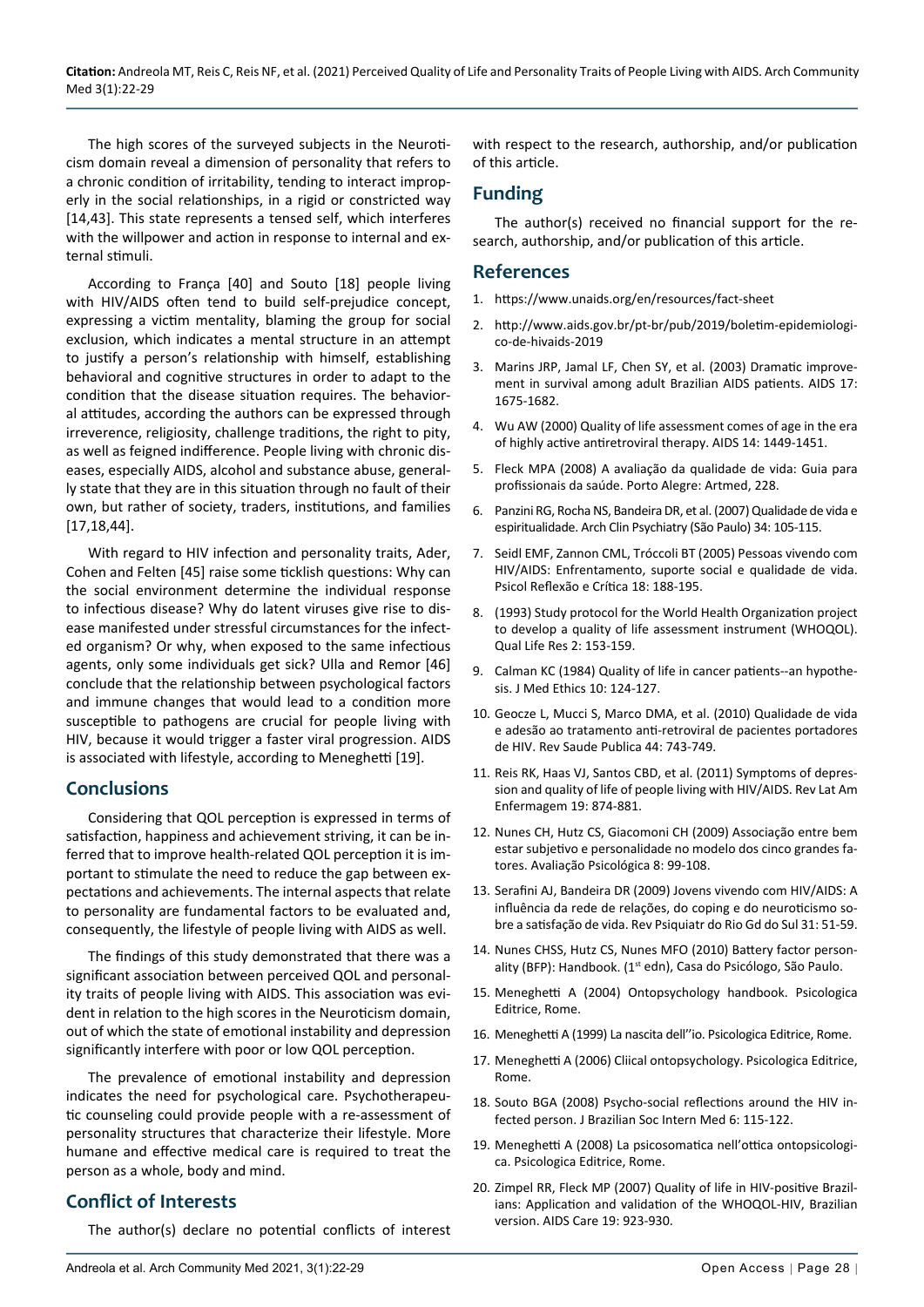The high scores of the surveyed subjects in the Neuroticism domain reveal a dimension of personality that refers to a chronic condition of irritability, tending to interact improperly in the social relationships, in a rigid or constricted way [14,43]. This state represents a tensed self, which interferes with the willpower and action in response to internal and external stimuli.

According to França [40] and Souto [18] people living with HIV/AIDS often tend to build self-prejudice concept, expressing a victim mentality, blaming the group for social exclusion, which indicates a mental structure in an attempt to justify a person's relationship with himself, establishing behavioral and cognitive structures in order to adapt to the condition that the disease situation requires. The behavioral attitudes, according the authors can be expressed through irreverence, religiosity, challenge traditions, the right to pity, as well as feigned indifference. People living with chronic diseases, especially AIDS, alcohol and substance abuse, generally state that they are in this situation through no fault of their own, but rather of society, traders, institutions, and families [17,18,44].

With regard to HIV infection and personality traits, Ader, Cohen and Felten [45] raise some ticklish questions: Why can the social environment determine the individual response to infectious disease? Why do latent viruses give rise to disease manifested under stressful circumstances for the infected organism? Or why, when exposed to the same infectious agents, only some individuals get sick? Ulla and Remor [46] conclude that the relationship between psychological factors and immune changes that would lead to a condition more susceptible to pathogens are crucial for people living with HIV, because it would trigger a faster viral progression. AIDS is associated with lifestyle, according to Meneghetti [19].

#### **Conclusions**

Considering that QOL perception is expressed in terms of satisfaction, happiness and achievement striving, it can be inferred that to improve health-related QOL perception it is important to stimulate the need to reduce the gap between expectations and achievements. The internal aspects that relate to personality are fundamental factors to be evaluated and, consequently, the lifestyle of people living with AIDS as well.

The findings of this study demonstrated that there was a significant association between perceived QOL and personality traits of people living with AIDS. This association was evident in relation to the high scores in the Neuroticism domain, out of which the state of emotional instability and depression significantly interfere with poor or low QOL perception.

The prevalence of emotional instability and depression indicates the need for psychological care. Psychotherapeutic counseling could provide people with a re-assessment of personality structures that characterize their lifestyle. More humane and effective medical care is required to treat the person as a whole, body and mind.

## **Conflict of Interests**

The author(s) declare no potential conflicts of interest

with respect to the research, authorship, and/or publication of this article.

## **Funding**

The author(s) received no financial support for the research, authorship, and/or publication of this article.

#### **References**

- 1. <https://www.unaids.org/en/resources/fact-sheet>
- 2. [http://www.aids.gov.br/pt-br/pub/2019/boletim-epidemiologi](http://www.aids.gov.br/pt-br/pub/2019/boletim-epidemiologico-de-hivaids-2019)[co-de-hivaids-2019](http://www.aids.gov.br/pt-br/pub/2019/boletim-epidemiologico-de-hivaids-2019)
- 3. [Marins JRP, Jamal LF, Chen SY, et al. \(2003\) Dramatic improve](https://pubmed.ncbi.nlm.nih.gov/12853750/)[ment in survival among adult Brazilian AIDS patients. AIDS 17:](https://pubmed.ncbi.nlm.nih.gov/12853750/)  [1675-1682.](https://pubmed.ncbi.nlm.nih.gov/12853750/)
- 4. [Wu AW \(2000\) Quality of life assessment comes of age in the era](https://pubmed.ncbi.nlm.nih.gov/10930161/)  [of highly active antiretroviral therapy. AIDS 14: 1449-1451.](https://pubmed.ncbi.nlm.nih.gov/10930161/)
- 5. [Fleck MPA \(2008\) A avaliação da qualidade de vida: Guia para](http://www.scielo.br/scielo.php?script=sci_arttext&pid=S1413-81232009000600040&lng=pt&tlng=pt)  [profissionais da saúde. Porto Alegre: Artmed, 228.](http://www.scielo.br/scielo.php?script=sci_arttext&pid=S1413-81232009000600040&lng=pt&tlng=pt)
- 6. [Panzini RG, Rocha NS, Bandeira DR, et al. \(2007\) Qualidade de vida e](http://www.scielo.br/scielo.php?script=sci_arttext&pid=S0101-60832007000700014)  [espiritualidade. Arch Clin Psychiatry \(São Paulo\) 34: 105-115.](http://www.scielo.br/scielo.php?script=sci_arttext&pid=S0101-60832007000700014)
- 7. [Seidl EMF, Zannon CML, Tróccoli BT \(2005\) Pessoas vivendo com](https://www.scielo.br/scielo.php?script=sci_abstract&pid=S0102-79722005000200006&lng=en&nrm=iso&tlng=pt)  [HIV/AIDS: Enfrentamento, suporte social e qualidade de vida.](https://www.scielo.br/scielo.php?script=sci_abstract&pid=S0102-79722005000200006&lng=en&nrm=iso&tlng=pt)  [Psicol Reflexão e Crítica 18: 188-195.](https://www.scielo.br/scielo.php?script=sci_abstract&pid=S0102-79722005000200006&lng=en&nrm=iso&tlng=pt)
- 8. [\(1993\) Study protocol for the World Health Organization project](https://pubmed.ncbi.nlm.nih.gov/8518769/)  [to develop a quality of life assessment instrument \(WHOQOL\).](https://pubmed.ncbi.nlm.nih.gov/8518769/)  [Qual Life Res 2: 153-159.](https://pubmed.ncbi.nlm.nih.gov/8518769/)
- 9. [Calman KC \(1984\) Quality of life in cancer patients--an hypothe](https://pubmed.ncbi.nlm.nih.gov/6334159/)[sis. J Med Ethics 10: 124-127.](https://pubmed.ncbi.nlm.nih.gov/6334159/)
- 10. [Geocze L, Mucci S, Marco DMA, et al. \(2010\) Qualidade de vida](https://www.scielo.br/scielo.php?script=sci_arttext&pid=S0034-89102010000400019)  [e adesão ao tratamento anti-retroviral de pacientes portadores](https://www.scielo.br/scielo.php?script=sci_arttext&pid=S0034-89102010000400019)  [de HIV. Rev Saude Publica 44: 743-749.](https://www.scielo.br/scielo.php?script=sci_arttext&pid=S0034-89102010000400019)
- 11. [Reis RK, Haas VJ, Santos CBD, et al. \(2011\) Symptoms of depres](https://pubmed.ncbi.nlm.nih.gov/21876938/)[sion and quality of life of people living with HIV/AIDS. Rev Lat Am](https://pubmed.ncbi.nlm.nih.gov/21876938/)  [Enfermagem 19: 874-881.](https://pubmed.ncbi.nlm.nih.gov/21876938/)
- 12. [Nunes CH, Hutz CS, Giacomoni CH \(2009\) Associação entre bem](http://pepsic.bvsalud.org/scielo.php?script=sci_arttext&pid=S1677-04712009000100009)  [estar subjetivo e personalidade no modelo dos cinco grandes fa](http://pepsic.bvsalud.org/scielo.php?script=sci_arttext&pid=S1677-04712009000100009)[tores. Avaliação Psicológica 8: 99-108.](http://pepsic.bvsalud.org/scielo.php?script=sci_arttext&pid=S1677-04712009000100009)
- 13. [Serafini AJ, Bandeira DR \(2009\) Jovens vivendo com HIV/AIDS: A](https://www.scielo.br/scielo.php?script=sci_arttext&pid=S0101-81082009000100010)  [influência da rede de relações, do coping e do neuroticismo so](https://www.scielo.br/scielo.php?script=sci_arttext&pid=S0101-81082009000100010)[bre a satisfação de vida. Rev Psiquiatr do Rio Gd do Sul 31: 51-59.](https://www.scielo.br/scielo.php?script=sci_arttext&pid=S0101-81082009000100010)
- 14. Nunes CHSS, Hutz CS, Nunes MFO (2010) Battery factor personality (BFP): Handbook. (1<sup>st</sup> edn), Casa do Psicólogo, São Paulo.
- 15. Meneghetti A (2004) Ontopsychology handbook. Psicologica Editrice, Rome.
- 16. Meneghetti A (1999) La nascita dell''io. Psicologica Editrice, Rome.
- 17. Meneghetti A (2006) Cliical ontopsychology. Psicologica Editrice, Rome.
- 18. Souto BGA (2008) Psycho-social reflections around the HIV infected person. J Brazilian Soc Intern Med 6: 115-122.
- 19. Meneghetti A (2008) La psicosomatica nell'ottica ontopsicologica. Psicologica Editrice, Rome.
- 20. [Zimpel RR, Fleck MP \(2007\) Quality of life in HIV-positive Brazil](https://pubmed.ncbi.nlm.nih.gov/17712697/)[ians: Application and validation of the WHOQOL-HIV, Brazilian](https://pubmed.ncbi.nlm.nih.gov/17712697/)  [version. AIDS Care 19: 923-930.](https://pubmed.ncbi.nlm.nih.gov/17712697/)